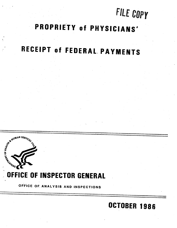## FILE COpy

OCTOBER 1986

## PROPRIETY of PHYSICIANS'

# RECEIPT of FEDERAL, PA YMENTS



## . OFFICE OF INSPECTOR GENERAL

OFFICE OF ANALYSIS AND INSPECTIONS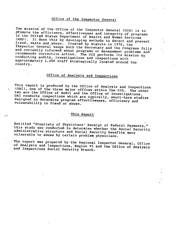### Office of the Inspector General

The mission of the Office of the Inspector General (OIG) is to promote the efficiency, effectiveness and integrity of programs<br>in the United States Department of Health and Human Services<br>(HHS). It does this by developing methods to detect and prevent fraud, waste and abuse. Created by statute in 1976, the Inspector General keeps both the Secretary and the Congress fully and currently informed about programs or management problems and recommends corrective action. The OIG performs its mission by conducting audits, investigations and inspections with approximately 1,200 staff strategically located around the country.

### Office of Analysis and Inspections

This report is produced by the Office of Analysis and Inspections (OAI), one of the three major offices within the OIG. The other<br>two are the Office of Audit and the Office of Investigations.<br>OAI conducts inspections which are typically, short-term studies designed to determine program effectiveness, efficiency and vulnerability to fraud or abuse.

#### This Report

Entitled "Propriety of Physicians' Receipt of Federal Payments,"<br>this study was conducted to determine whether the Social Security administrative structure and Social Security benefits were vulnerable to abuse by certain problem physicians.

The report was prepared by the Regional Inspector General, Office of Analysis and Inspections, Region VI and the Office of Analysis and Inspections Social Security Branch.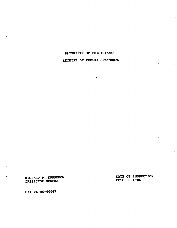## PROPRIETY OF PHYSICIANS'

## RECEIPT OF FEDERAL PAYMENTS

 $\epsilon$ 

RICHARD P. KUSSEROW<br>INSPECTOR GENERAL

RICHARD P. KUSSEROW DATE OF INSPECTION

 $\bar{f}$ 

OAI-06-86-00067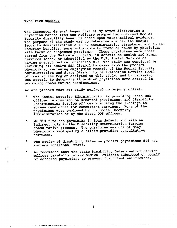#### EXECUTIVE SUMMARY

The Inspector General began this study after discovering a physician barred from the Medicare program had obtained Social Security disability benefits based upon false medical evidence. The purpose of the study was to determine whether the Social Security Administration's (SSA) administrative structure, and Social Security benefits, were vulnerable to fraud or abuse by physicians with known or suspected problems. (These physicians were those barred from the Medicare program, in default on Health and Human Services loans, or identified by the U. S. Postal Service as having suspect medical credentials.) The study was completed by reviewing all active SSA disability cases from the problem physicians, reviewing employment records of the Social Security Administration and State Disability Determination Service (DDS) offices in the region assigned to this study, and by reviewing DDS records to determine if problem physicians were engaged in providing consultative examinations.

We are pleased that our study surfaced no major problems.

- The Social Security Administration is providing State DDS offices information on debarred physicians, and Disability Determination Service offices are using the listings to screen candidates for consultant services. None of the physicians were employed by the Social Security Administration or by the State DDS offices.
- $\bullet$ We did find one physician in loan default and with an indirect role in the Disability Determination Service consultative process. The physician was one of many physicians employed by a clinic providing consultative services.
- $\bullet$ The review of disability files on problem physicians did not surface additional fraud.
- We recommend that the State Disability Determination Service  $\bullet$ offices carefully review medical evidence submitted on behalf of debarred physicians to prevent fraudulent entitlement.

 $\mathbf{i}$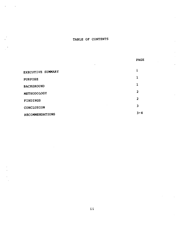## TABLE OF CONTENTS

|                        | <b>PAGE</b>    |
|------------------------|----------------|
| $\cdot$                |                |
| EXECUTIVE SUMMARY      | i              |
| <b>PURPOSE</b>         | 1              |
| <b>BACKGROUND</b>      | 1              |
| METHODOLOGY            | $\overline{2}$ |
| <b>FINDINGS</b>        | $\overline{2}$ |
| CONCLUSION             | 3              |
| <b>RECOMMENDATIONS</b> | $3 - 4$        |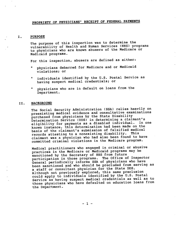## PROPRIETY OF PHYSICIANS' RECEIPT OF FEDERAL PAYMENTS

#### PURPOSE I.

The purpose of this inspection was to determine the vulnerability of Health and Human Services (HHS) programs to physicians who are known abusers of the Medicare or Medicaid programs.

For this inspection, abusers are defined as either:

- physicians debarred for Medicare and or Medicaid violations; or
- individuals identified by the U. S. Postal Service as  $\bullet$ having suspect medical credentials
- $\bullet$ physicians who are in default on loans from the Department.

#### II. BACKGROUND

The Social Security Administration (SSA) relies heavily on preexisting medical evidence and consultative examinations purchased from physicians by the State Disability Determination Service (DDS) in determining a claimant' eligibility for payments as a disabled individual. In one known instance, this determination had been made on the basis of the claimant's submission of falsified medical records attesting to a nonexisting disability. This claimant was a physician who had also been found to have commi tted criminal violations in the Medicare program.

Medical practitioners who engaged in criminal or abusive practices in the Medicare or Medicaid programs may be sanctioned by the Secretary of HHS from future participation in those programs. The Office of Inspector General periodically informs SSA of physicians who have been sanctioned and who should be precluded from serving as a staff or consultant physician for the State DDS. Although not previously explored, this same preclusion could apply to individuals identified by the U. S. Postal Service as having suspect medical credentials as well as to those physicians who have defaulted on education loans from the Department.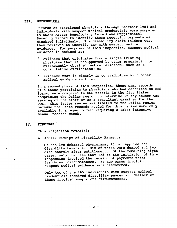#### III. METHODOLOGY

Records of sanctioned physicians through December 1984 and individuals with suspect medical credentials were compared to SSA's Master Beneficiary Record and Supplemental Security Record to identify those receiving payments as disabled individuals. The disability claim folders were then reviewed to identify any with suspect medical evidence. For purposes of this inspection, suspect medical evidence is defined as:

- evidence that originates from a single treating physician that is unsupported by other preexisting or subsequently obtained medical evidence, such as a consultative examination; or
- evidence that is clearly in contradiction with other medical evidence in file.

In a second phase of this inspection, these same records, plus those pertaining to physicians who had defaulted on HHS loans, were compared to DDS records in the five States comprising the Dallas region to determine if any abuser was serving on the staff or as a consultant examiner for the DDS. This latter review was limited to the Dallas region because the State records needed for this review were only available in a paper format requiring a labor intensive manual records check.

#### IV. FINDINGS

This inspection revealed:

A. Abuser Receipt of Disability Payments

Of the 190 debarred physicians, 16 had applied for disability benefits. Six of these were denied and two died shortly after entitlement. Of the remaining eight cases, only the case that led to the initiation of this inspection involved the receipt of payments under fraudulent circumstances. No new cases involving suspect medical evidence were discovered.

Only two of the 165 individuals with suspect medical credentials received disability payments. Neither of these involved suspicious circumstances.

- 2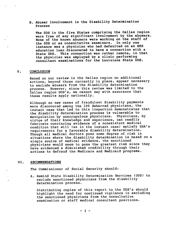B. Abuser Involvement in the Disability Determination Process

The DDS in the five States comprising the Dallas region were free of any significant involvement by the abusers. None of the known abusers were working on the staff of the DDS or as consultative examiners. In only one instance was a physician who had defaulted on an HHS education loan discovered to have a connection with a State DDS. This connection was rather remote, in that the physician was employed by a clinic performing consultant examinations for the Louisiana State DDS.

#### V. CONCLUSION

Based on our review in the Dallas region no additional actions, beyond those currently in place, appear necessary to exclude abusers from the disability determination process. However, since this review was limited to the Dallas region DDS' s, we cannot say with assurance that these results apply nationally.

Although no new cases of fraudulent disability payments were discovered among the 190 debarred physicians, the instant case that led to this inspection demonstrates that the disability determination process is vulnerable to manipulation by unscrupulous physicians. Physicians, by virtue of their knowledge and experience, can readily fabricate convincing evidence of a nonexistent medical condition that will (as in the instant case) satisfy SSA' requirements for a favorable disability determination. Though all medical doctors pose some degree of risk in si tuations where the disability determination is based on a single source of medical evidence, the sanctioned physicians would seem to pose the greatest risk since they have evidenced a diminished credibility through their actions to defraud the Medicare and Medicaid programs.

#### VI. RECOMMENDATIONS

The Commissioner of Social Security should:

A. Remind State Disability Determination Services (DDS) to exclude sanctioned physicians from the disability determination process.

Distributing copies of this report to the DDS's should highlight the need for continued vigilance in excluding the sanctioned physicians from the consultative examination or staff medical consultant positions.